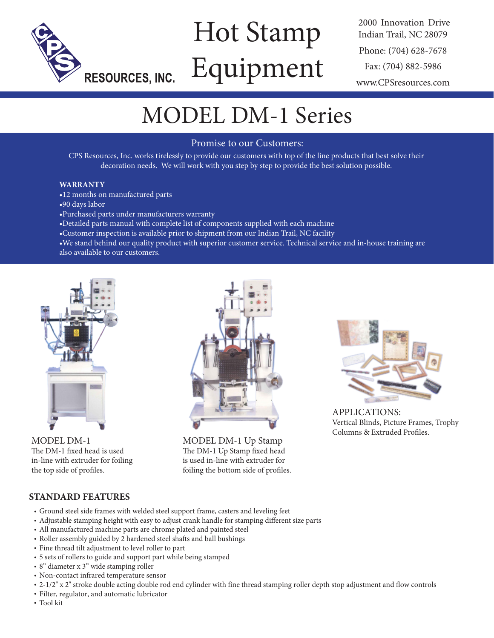

# Hot Stamp Equipment

2000 Innovation Drive Indian Trail, NC 28079 Phone: (704) 628-7678 Fax: (704) 882-5986 www.CPSresources.com

# MODEL DM-1 Series

### Promise to our Customers:

CPS Resources, Inc. works tirelessly to provide our customers with top of the line products that best solve their decoration needs. We will work with you step by step to provide the best solution possible.

#### **WARRANTY**

- •12 months on manufactured parts
- •90 days labor
- •Purchased parts under manufacturers warranty
- •Detailed parts manual with complete list of components supplied with each machine
- •Customer inspection is available prior to shipment from our Indian Trail, NC facility

•We stand behind our quality product with superior customer service. Technical service and in-house training are also available to our customers.



MODEL DM-1 The DM-1 fixed head is used in-line with extruder for foiling the top side of profiles.



MODEL DM-1 Up Stamp The DM-1 Up Stamp fixed head is used in-line with extruder for foiling the bottom side of profiles.



APPLICATIONS: Vertical Blinds, Picture Frames, Trophy Columns & Extruded Profiles.

## **STANDARD FEATURES**

- Ground steel side frames with welded steel support frame, casters and leveling feet
- Adjustable stamping height with easy to adjust crank handle for stamping different size parts
- All manufactured machine parts are chrome plated and painted steel
- Roller assembly guided by 2 hardened steel shafts and ball bushings
- Fine thread tilt adjustment to level roller to part
- 5 sets of rollers to guide and support part while being stamped
- 8" diameter x 3" wide stamping roller
- Non-contact infrared temperature sensor
- 2-1/2" x 2" stroke double acting double rod end cylinder with fine thread stamping roller depth stop adjustment and flow controls
- Filter, regulator, and automatic lubricator
- Tool kit